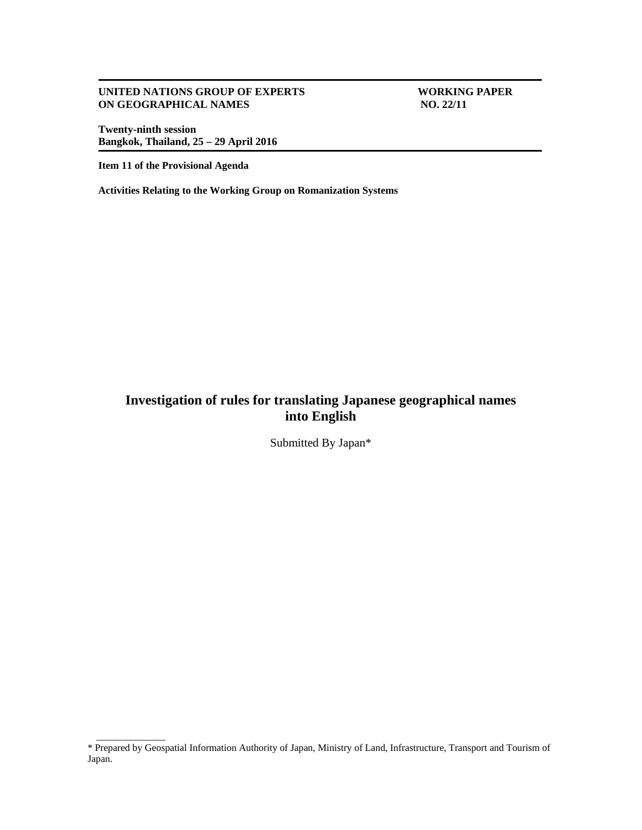#### **UNITED NATIONS GROUP OF EXPERTS WORKING PAPER<br>
ON GEOGRAPHICAL NAMES** NO. 22/11 **ON GEOGRAPHICAL NAMES**

**Twenty-ninth session Bangkok, Thailand, 25 – 29 April 2016** 

**Item 11 of the Provisional Agenda** 

\_\_\_\_\_\_\_\_\_\_\_\_\_\_

**Activities Relating to the Working Group on Romanization Systems** 

# **Investigation of rules for translating Japanese geographical names into English**

Submitted By Japan\*

<sup>\*</sup> Prepared by Geospatial Information Authority of Japan, Ministry of Land, Infrastructure, Transport and Tourism of Japan.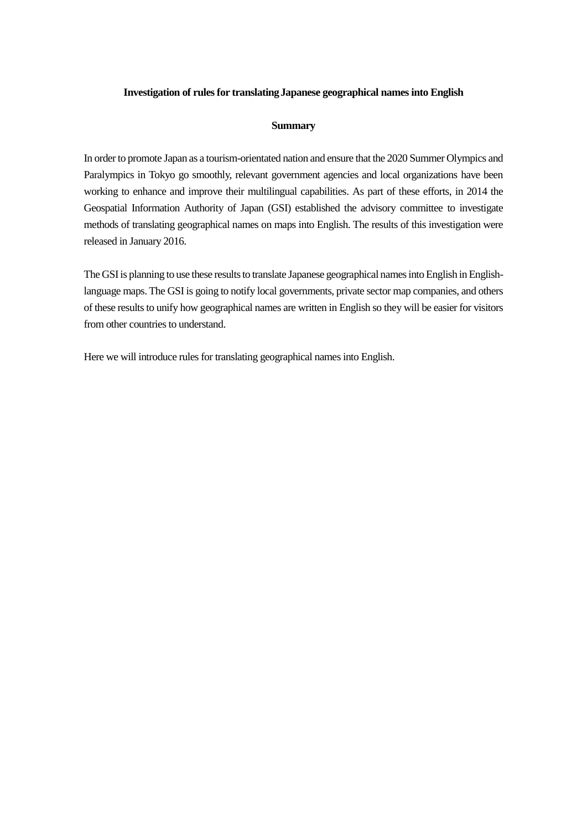## **Investigation of rules for translatingJapanese geographical namesinto English**

## **Summary**

In order to promote Japan as a tourism-orientated nation and ensure that the 2020 Summer Olympics and Paralympics in Tokyo go smoothly, relevant government agencies and local organizations have been working to enhance and improve their multilingual capabilities. As part of these efforts, in 2014 the Geospatial Information Authority of Japan (GSI) established the advisory committee to investigate methods of translating geographical names on maps into English. The results of this investigation were released in January 2016.

The GSI is planning to use these results to translate Japanese geographical names into English in Englishlanguage maps. The GSI is going to notify local governments, private sector map companies, and others of these results to unify how geographical names are written in English so they will be easier for visitors from other countries to understand.

Here we will introduce rules for translating geographical names into English.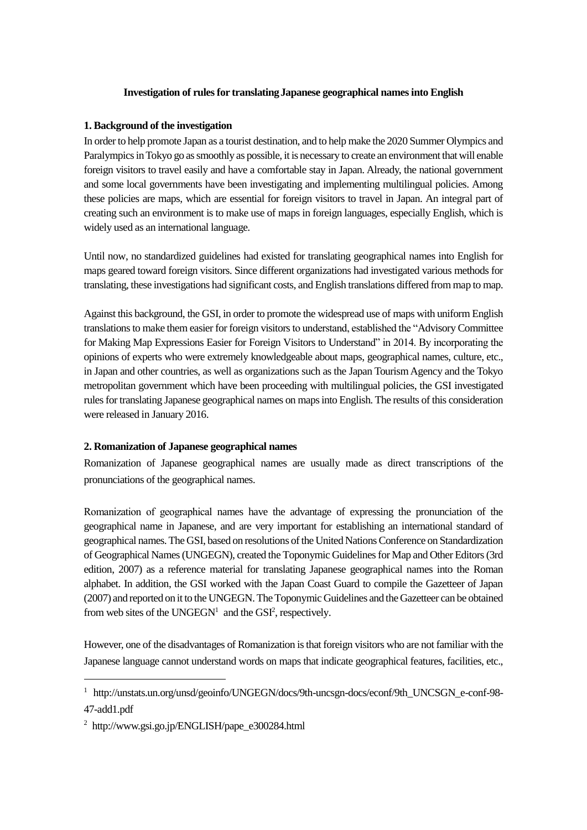## **Investigation of rules for translatingJapanese geographical names into English**

## **1. Background of the investigation**

In order to help promote Japan as a tourist destination, and to help make the 2020 Summer Olympics and Paralympics in Tokyo go as smoothly as possible, it is necessary to create an environment that will enable foreign visitors to travel easily and have a comfortable stay in Japan. Already, the national government and some local governments have been investigating and implementing multilingual policies. Among these policies are maps, which are essential for foreign visitors to travel in Japan. An integral part of creating such an environment is to make use of maps in foreign languages, especially English, which is widely used as an international language.

Until now, no standardized guidelines had existed for translating geographical names into English for maps geared toward foreign visitors. Since different organizations had investigated various methods for translating, these investigations had significant costs, and English translations differed from map to map.

Against this background, the GSI, in order to promote the widespread use of maps with uniform English translations to make them easier for foreign visitors to understand, established the "Advisory Committee for Making Map Expressions Easier for Foreign Visitors to Understand" in 2014. By incorporating the opinions of experts who were extremely knowledgeable about maps, geographical names, culture, etc., in Japan and other countries, as well as organizations such as the Japan Tourism Agency and the Tokyo metropolitan government which have been proceeding with multilingual policies, the GSI investigated rules for translating Japanese geographical names on maps into English. The results of this consideration were released in January 2016.

## **2. Romanization of Japanese geographical names**

Romanization of Japanese geographical names are usually made as direct transcriptions of the pronunciations of the geographical names.

Romanization of geographical names have the advantage of expressing the pronunciation of the geographical name in Japanese, and are very important for establishing an international standard of geographical names. The GSI, based on resolutions of the United Nations Conference on Standardization of Geographical Names (UNGEGN), created the Toponymic Guidelines for Map and Other Editors (3rd edition, 2007) as a reference material for translating Japanese geographical names into the Roman alphabet. In addition, the GSI worked with the Japan Coast Guard to compile the Gazetteer of Japan (2007) and reported on it to the UNGEGN. The Toponymic Guidelines and the Gazetteer can be obtained from web sites of the UNGEGN<sup>1</sup> and the GSI<sup>2</sup>, respectively.

However, one of the disadvantages of Romanization is that foreign visitors who are not familiar with the Japanese language cannot understand words on maps that indicate geographical features, facilities, etc.,

1

<sup>1</sup> http://unstats.un.org/unsd/geoinfo/UNGEGN/docs/9th-uncsgn-docs/econf/9th\_UNCSGN\_e-conf-98- 47-add1.pdf

<sup>2</sup> http://www.gsi.go.jp/ENGLISH/pape\_e300284.html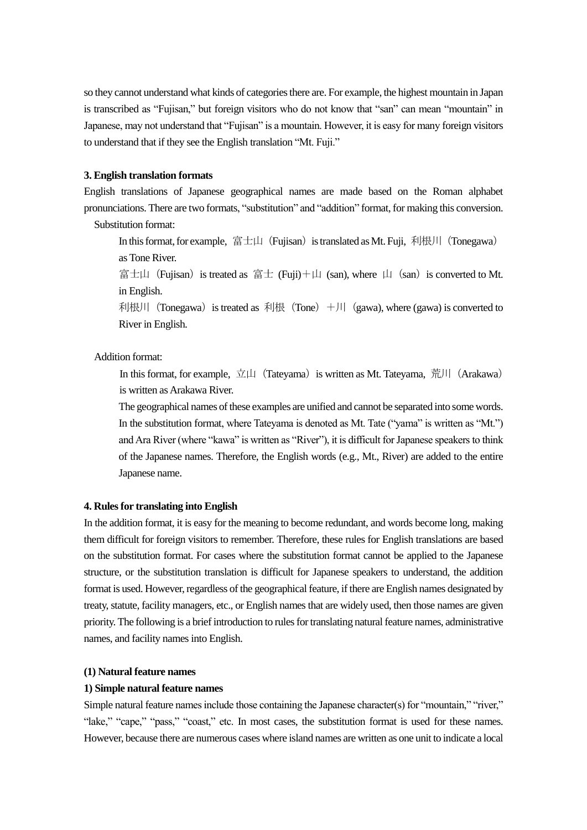so they cannot understand what kinds of categories there are. For example, the highest mountain in Japan is transcribed as "Fujisan," but foreign visitors who do not know that "san" can mean "mountain" in Japanese, may not understand that "Fujisan" is a mountain. However, it is easy for many foreign visitors to understand that if they see the English translation "Mt. Fuji."

#### **3. English translation formats**

English translations of Japanese geographical names are made based on the Roman alphabet pronunciations. There are two formats, "substitution" and "addition" format, for making this conversion. Substitution format:

In this format, for example, 富士山(Fujisan) is translated as Mt. Fuji, 利根川(Tonegawa) as Tone River.

富士山(Fujisan) is treated as 富士 (Fuji)+山(san), where 山(san) is converted to Mt. in English.

利根川 (Tonegawa) is treated as 利根 (Tone) +川 (gawa), where (gawa) is converted to River in English.

Addition format:

In this format, for example,  $\overline{\triangle}$ 山(Tateyama) is written as Mt. Tateyama, 荒川(Arakawa) is written as Arakawa River.

The geographical names of these examples are unified and cannot be separated into some words. In the substitution format, where Tateyama is denoted as Mt. Tate ("yama" is written as "Mt.") and Ara River (where "kawa" is written as "River"), it is difficult for Japanese speakers to think of the Japanese names. Therefore, the English words (e.g., Mt., River) are added to the entire Japanese name.

#### **4. Rules for translating into English**

In the addition format, it is easy for the meaning to become redundant, and words become long, making them difficult for foreign visitors to remember. Therefore, these rules for English translations are based on the substitution format. For cases where the substitution format cannot be applied to the Japanese structure, or the substitution translation is difficult for Japanese speakers to understand, the addition format is used. However, regardless of the geographical feature, if there are English names designated by treaty, statute, facility managers, etc., or English names that are widely used, then those names are given priority. The following is a brief introduction to rules for translating natural feature names, administrative names, and facility names into English.

#### **(1) Natural feature names**

#### **1) Simple natural feature names**

Simple natural feature names include those containing the Japanese character(s) for "mountain," "river," "lake," "cape," "pass," "coast," etc. In most cases, the substitution format is used for these names. However, because there are numerous cases where island names are written as one unit to indicate a local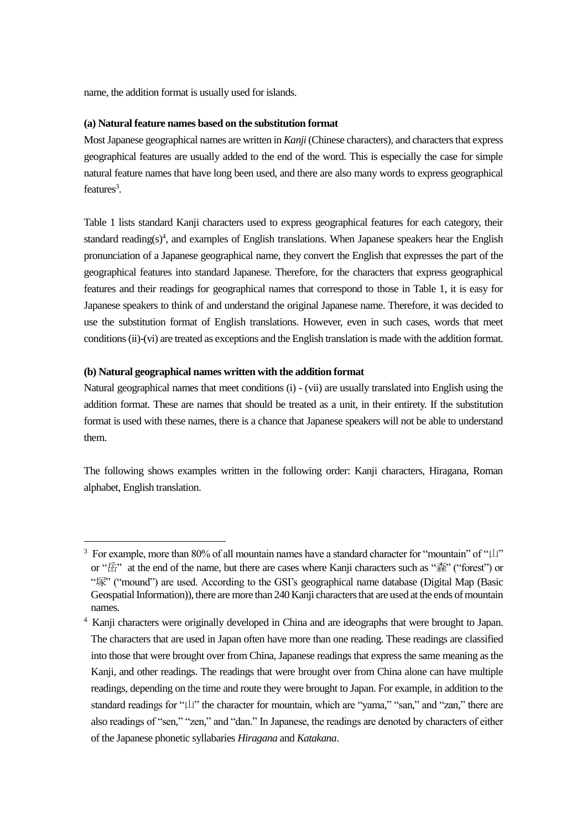name, the addition format is usually used for islands.

## **(a) Natural feature names based on the substitution format**

Most Japanese geographical names are written in *Kanji* (Chinese characters), and characters that express geographical features are usually added to the end of the word. This is especially the case for simple natural feature names that have long been used, and there are also many words to express geographical features<sup>3</sup>.

Table 1 lists standard Kanji characters used to express geographical features for each category, their standard reading $(s)$ <sup>4</sup>, and examples of English translations. When Japanese speakers hear the English pronunciation of a Japanese geographical name, they convert the English that expresses the part of the geographical features into standard Japanese. Therefore, for the characters that express geographical features and their readings for geographical names that correspond to those in Table 1, it is easy for Japanese speakers to think of and understand the original Japanese name. Therefore, it was decided to use the substitution format of English translations. However, even in such cases, words that meet conditions (ii)-(vi) are treated as exceptions and the English translation is made with the addition format.

## **(b) Natural geographical names written with the addition format**

1

Natural geographical names that meet conditions (i) - (vii) are usually translated into English using the addition format. These are names that should be treated as a unit, in their entirety. If the substitution format is used with these names, there is a chance that Japanese speakers will not be able to understand them.

The following shows examples written in the following order: Kanji characters, Hiragana, Roman alphabet, English translation.

<sup>&</sup>lt;sup>3</sup> For example, more than 80% of all mountain names have a standard character for "mountain" of " $\mu$ " or "岳" at the end of the name, but there are cases where Kanji characters such as "森" ("forest") or "塚" ("mound") are used. According to the GSI's geographical name database (Digital Map (Basic Geospatial Information)), there are more than 240 Kanji characters that are used at the ends of mountain names.

<sup>4</sup> Kanji characters were originally developed in China and are ideographs that were brought to Japan. The characters that are used in Japan often have more than one reading. These readings are classified into those that were brought over from China, Japanese readings that express the same meaning as the Kanji, and other readings. The readings that were brought over from China alone can have multiple readings, depending on the time and route they were brought to Japan. For example, in addition to the standard readings for "山" the character for mountain, which are "yama," "san," and "zan," there are also readings of "sen," "zen," and "dan." In Japanese, the readings are denoted by characters of either of the Japanese phonetic syllabaries *Hiragana* and *Katakana*.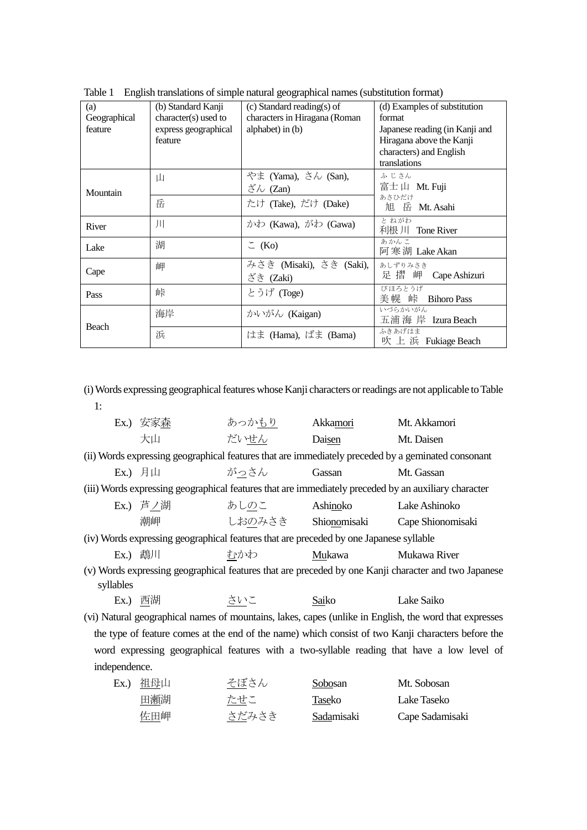| (a)          | (b) Standard Kanji   | $(c)$ Standard reading(s) of  | (d) Examples of substitution   |  |
|--------------|----------------------|-------------------------------|--------------------------------|--|
| Geographical | character(s) used to | characters in Hiragana (Roman | format                         |  |
| feature      | express geographical | alphabet) in $(b)$            | Japanese reading (in Kanji and |  |
|              | feature              |                               | Hiragana above the Kanji       |  |
|              |                      |                               | characters) and English        |  |
|              |                      |                               | translations                   |  |
|              | Щ                    | やま (Yama), さん (San),          | ふじさん                           |  |
| Mountain     |                      | ざん (Zan)                      | 富士山 Mt. Fuji                   |  |
|              | 岳                    | たけ (Take), だけ (Dake)          | あさひだけ                          |  |
|              |                      |                               | 旭 岳 Mt. Asahi                  |  |
| River        | Л                    | かわ (Kawa), がわ (Gawa)          | とねがわ<br>利根 川 Tone River        |  |
|              |                      |                               | あかんこ                           |  |
| Lake         | 湖                    | $\subset$ (Ko)                | 阿寒湖 Lake Akan                  |  |
|              | 岬                    | みさき (Misaki), さき (Saki),      | あしずりみさき                        |  |
| Cape         |                      | ざき (Zaki)                     | 足 摺 岬 Cape Ashizuri            |  |
| Pass         | 峠                    | とうげ (Toge)                    | びほろとうげ                         |  |
|              |                      |                               | 美幌 峠<br><b>Bihoro Pass</b>     |  |
|              | 海岸                   | かいがん (Kaigan)                 | いづらかいがん                        |  |
| Beach        |                      |                               | 五浦 海 岸 Izura Beach             |  |
|              | 浜                    | はま (Hama), ばま (Bama)          | ふきあげはま                         |  |
|              |                      |                               | 吹上 浜 Fukiage Beach             |  |

Table 1 English translations of simple natural geographical names (substitution format)

(i) Words expressing geographicalfeatures whose Kanji characters or readings are not applicable to Table 1:

|                                                                                                        | Ex.)安家森                                                                                | あっか <u>もり</u>                | Akkamori   | Mt. Akkamori                                                                                         |  |
|--------------------------------------------------------------------------------------------------------|----------------------------------------------------------------------------------------|------------------------------|------------|------------------------------------------------------------------------------------------------------|--|
|                                                                                                        | 大山                                                                                     | だいせん                         | Daisen     | Mt. Daisen                                                                                           |  |
|                                                                                                        |                                                                                        |                              |            | (ii) Words expressing geographical features that are immediately preceded by a geminated consonant   |  |
|                                                                                                        | Ex.) 月山                                                                                | がっさん                         | Gassan     | Mt. Gassan                                                                                           |  |
|                                                                                                        |                                                                                        |                              |            | (iii) Words expressing geographical features that are immediately preceded by an auxiliary character |  |
|                                                                                                        | Ex.) 芦ノ湖 あしのこ                                                                          |                              | Ashinoko   | Lake Ashinoko                                                                                        |  |
|                                                                                                        | 潮岬                                                                                     | しおのみさき Shio <u>no</u> misaki |            | Cape Shionomisaki                                                                                    |  |
|                                                                                                        | (iv) Words expressing geographical features that are preceded by one Japanese syllable |                              |            |                                                                                                      |  |
|                                                                                                        | Ex.) 鵡川                                                                                | むかわ                          | Mukawa     | Mukawa River                                                                                         |  |
|                                                                                                        |                                                                                        |                              |            | (v) Words expressing geographical features that are preceded by one Kanji character and two Japanese |  |
| syllables                                                                                              |                                                                                        |                              |            |                                                                                                      |  |
|                                                                                                        | <b>Ex.)</b> 西湖                                                                         | さいこ                          | Saiko      | Lake Saiko                                                                                           |  |
| (vi) Natural geographical names of mountains, lakes, capes (unlike in English, the word that expresses |                                                                                        |                              |            |                                                                                                      |  |
| the type of feature comes at the end of the name) which consist of two Kanji characters before the     |                                                                                        |                              |            |                                                                                                      |  |
| word expressing geographical features with a two-syllable reading that have a low level of             |                                                                                        |                              |            |                                                                                                      |  |
| independence.                                                                                          |                                                                                        |                              |            |                                                                                                      |  |
|                                                                                                        | Ex.) 祖母山                                                                               | そぼさん                         | Sobosan    | Mt. Sobosan                                                                                          |  |
|                                                                                                        | 田瀬湖                                                                                    | たせこ                          | Taseko     | Lake Taseko                                                                                          |  |
|                                                                                                        | 佐田岬                                                                                    | さだみさき                        | Sadamisaki | Cape Sadamisaki                                                                                      |  |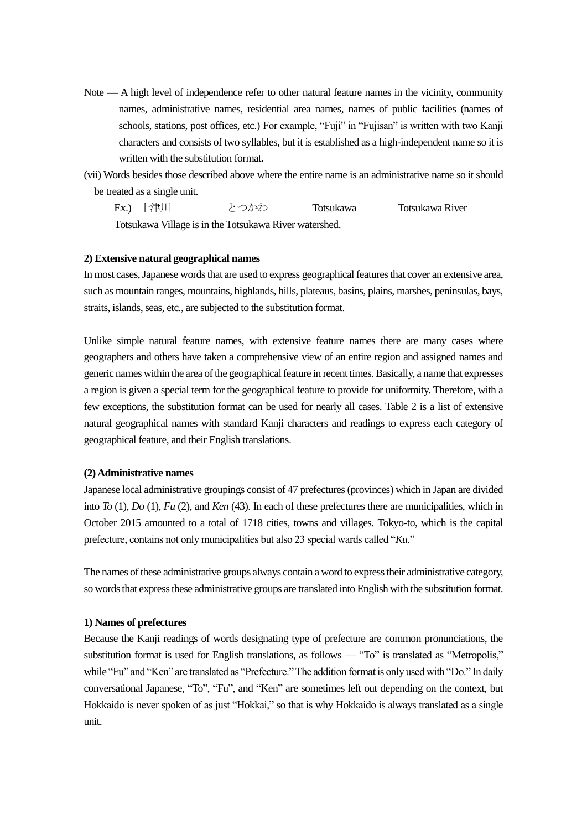- Note A high level of independence refer to other natural feature names in the vicinity, community names, administrative names, residential area names, names of public facilities (names of schools, stations, post offices, etc.) For example, "Fuji" in "Fujisan" is written with two Kanji characters and consists of two syllables, but it is established as a high-independent name so it is written with the substitution format.
- (vii) Words besides those described above where the entire name is an administrative name so it should be treated as a single unit.

Ex.) 十津川 とつかわ Totsukawa Totsukawa River Totsukawa Village is in the Totsukawa River watershed.

## **2) Extensive natural geographical names**

In most cases, Japanese words that are used to express geographical features that cover an extensive area, such as mountain ranges, mountains, highlands, hills, plateaus, basins, plains, marshes, peninsulas, bays, straits, islands, seas, etc., are subjected to the substitution format.

Unlike simple natural feature names, with extensive feature names there are many cases where geographers and others have taken a comprehensive view of an entire region and assigned names and generic names within the area of the geographical feature in recent times. Basically, a name that expresses a region is given a special term for the geographical feature to provide for uniformity. Therefore, with a few exceptions, the substitution format can be used for nearly all cases. Table 2 is a list of extensive natural geographical names with standard Kanji characters and readings to express each category of geographical feature, and their English translations.

#### **(2) Administrative names**

Japanese local administrative groupings consist of 47 prefectures (provinces) which in Japan are divided into *To* (1), *Do* (1), *Fu* (2), and *Ken* (43). In each of these prefectures there are municipalities, which in October 2015 amounted to a total of 1718 cities, towns and villages. Tokyo-to, which is the capital prefecture, contains not only municipalities but also 23 special wards called "*Ku*."

The names of these administrative groups always contain a word to express their administrative category, so words that express these administrative groups are translated into English with the substitution format.

#### **1) Names of prefectures**

Because the Kanji readings of words designating type of prefecture are common pronunciations, the substitution format is used for English translations, as follows — "To" is translated as "Metropolis," while "Fu" and "Ken" are translated as "Prefecture." The addition format is only used with "Do." In daily conversational Japanese, "To", "Fu", and "Ken" are sometimes left out depending on the context, but Hokkaido is never spoken of as just "Hokkai," so that is why Hokkaido is always translated as a single unit.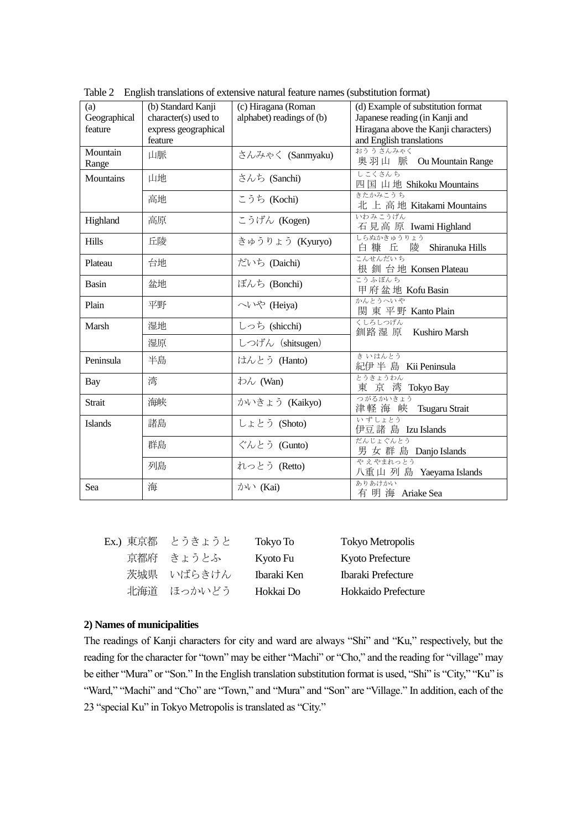| (a)            | (b) Standard Kanji   | (c) Hiragana (Roman       | (d) Example of substitution format        |
|----------------|----------------------|---------------------------|-------------------------------------------|
| Geographical   | character(s) used to | alphabet) readings of (b) | Japanese reading (in Kanji and            |
| feature        | express geographical |                           | Hiragana above the Kanji characters)      |
|                | feature              |                           | and English translations                  |
| Mountain       | 山脈                   | さんみゃく (Sanmyaku)          | おううさんみゃく                                  |
| Range          |                      |                           | 奥羽山 脈 Ou Mountain Range                   |
| Mountains      | 山地                   | さんち (Sanchi)              | しこくさんち                                    |
|                |                      |                           | 四国山地 Shikoku Mountains                    |
|                | 高地                   | こうち (Kochi)               | きたかみこうち<br>北上高地 Kitakami Mountains        |
|                |                      |                           | いわみこうげん                                   |
| Highland       | 高原                   | こうげん (Kogen)              | 石見高原 Iwami Highland                       |
| <b>Hills</b>   | 丘陵                   | きゅうりょう (Kyuryo)           | しらぬかきゅうりょう                                |
|                |                      |                           | 白糠 丘<br>陵<br>Shiranuka Hills              |
| Plateau        | 台地                   | だいち (Daichi)              | こんせんだいち<br>根 釧 台地 Konsen Plateau          |
|                |                      |                           | こうふぼんち                                    |
| Basin          | 盆地                   | ぼんち (Bonchi)              | 甲府盆地 Kofu Basin                           |
| Plain          | 平野                   | へいや (Heiya)               | かんとうへいや                                   |
|                |                      |                           | 関東平野 Kanto Plain                          |
| Marsh          | 湿地                   | しっち (shicchi)             | くしろしつげん<br>釧路 湿 原<br><b>Kushiro Marsh</b> |
|                | 湿原                   | しつげん (shitsugen)          |                                           |
|                |                      |                           | きいはんとう                                    |
| Peninsula      | 半島                   | はんとう (Hanto)              | 紀伊半島 Kii Peninsula                        |
| Bay            | 湾                    | わん (Wan)                  | とうきょうわん                                   |
|                |                      |                           | 東 京 湾 Tokyo Bay                           |
| Strait         | 海峡                   | かいきょう (Kaikyo)            | つがるかいきょう                                  |
|                |                      |                           | 津軽海峡 Tsugaru Strait<br>いずしょとう             |
| <b>Islands</b> | 諸島                   | しょとう (Shoto)              | 伊豆諸島 Izu Islands                          |
|                | 群島                   | ぐんとう (Gunto)              | だんじょぐんとう                                  |
|                |                      |                           | 男 女 群 島 Danjo Islands                     |
|                | 列島                   | れっとう (Retto)              | やえやまれっとう                                  |
|                |                      |                           | 八重山列島 Yaeyama Islands                     |
| Sea            | 海                    | かい (Kai)                  | ありあけかい                                    |
|                |                      |                           | 有 明 海 Ariake Sea                          |

Table 2 English translations of extensive natural feature names (substitution format)

| Ex.) 東京都 | とうきょうと     | Tokyo To    | <b>Tokyo Metropolis</b> |
|----------|------------|-------------|-------------------------|
|          | 京都府 きょうとふ  | Kyoto Fu    | Kyoto Prefecture        |
|          | 茨城県 いばらきけん | Ibaraki Ken | Ibaraki Prefecture      |
| 北海道      | ほっかいどう     | Hokkai Do   | Hokkaido Prefecture     |

#### **2) Names of municipalities**

The readings of Kanji characters for city and ward are always "Shi" and "Ku," respectively, but the reading for the character for "town" may be either "Machi" or "Cho," and the reading for "village" may be either "Mura" or "Son." In the English translation substitution format is used, "Shi" is "City," "Ku" is "Ward," "Machi" and "Cho" are "Town," and "Mura" and "Son" are "Village." In addition, each of the 23 "special Ku" in Tokyo Metropolis is translated as "City."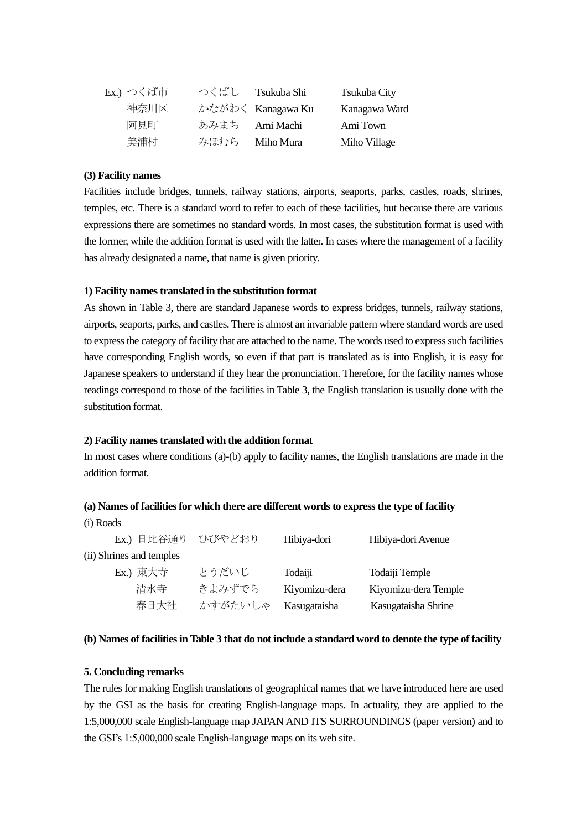| Ex.) つくば市 | つくばし | Tsukuba Shi       | Tsukuba City  |
|-----------|------|-------------------|---------------|
| 神奈川区      |      | かながわく Kanagawa Ku | Kanagawa Ward |
| 阿見町       |      | あみまち Ami Machi    | Ami Town      |
| 美浦村       |      | みほむら Miho Mura    | Miho Village  |

## **(3) Facility names**

Facilities include bridges, tunnels, railway stations, airports, seaports, parks, castles, roads, shrines, temples, etc. There is a standard word to refer to each of these facilities, but because there are various expressions there are sometimes no standard words. In most cases, the substitution format is used with the former, while the addition format is used with the latter. In cases where the management of a facility has already designated a name, that name is given priority.

## **1) Facility names translated in the substitution format**

As shown in Table 3, there are standard Japanese words to express bridges, tunnels, railway stations, airports, seaports, parks, and castles. There is almost an invariable pattern where standard words are used to express the category of facility that are attached to the name. The words used to express such facilities have corresponding English words, so even if that part is translated as is into English, it is easy for Japanese speakers to understand if they hear the pronunciation. Therefore, for the facility names whose readings correspond to those of the facilities in Table 3, the English translation is usually done with the substitution format.

#### **2) Facility names translated with the addition format**

In most cases where conditions (a)-(b) apply to facility names, the English translations are made in the addition format.

#### **(a) Names of facilities for which there are different words to express the type of facility**

| Ex.) 日比谷通り               | ひびやどおり  | Hibiya-dori   | Hibiya-dori Avenue   |
|--------------------------|---------|---------------|----------------------|
| (ii) Shrines and temples |         |               |                      |
| Ex.) 東大寺                 | とうだいじ   | Todaiji       | Todaiji Temple       |
| 清水寺                      | きよみずでら  | Kiyomizu-dera | Kiyomizu-dera Temple |
| 春日大社                     | かすがたいしゃ | Kasugataisha  | Kasugataisha Shrine  |

#### **(b) Names of facilities in Table 3 that do not include a standard word to denote the type of facility**

#### **5. Concluding remarks**

(i) Roads

The rules for making English translations of geographical names that we have introduced here are used by the GSI as the basis for creating English-language maps. In actuality, they are applied to the 1:5,000,000 scale English-language map JAPAN AND ITS SURROUNDINGS (paper version) and to the GSI's 1:5,000,000 scale English-language maps on its web site.